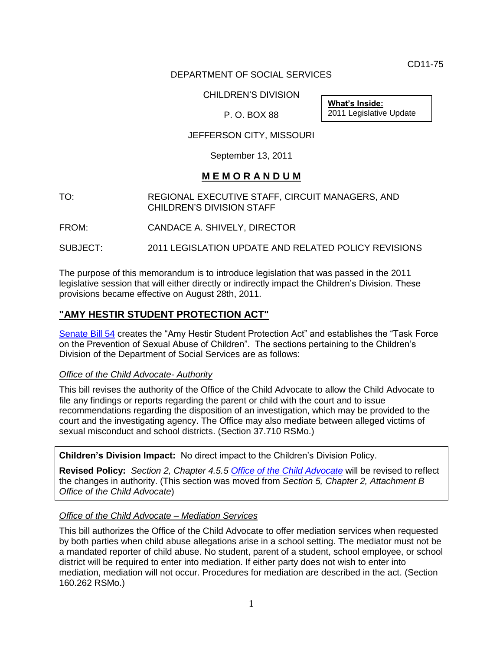CD11-75

# DEPARTMENT OF SOCIAL SERVICES

CHILDREN'S DIVISION

P. O. BOX 88

**What's Inside:** 2011 Legislative Update

JEFFERSON CITY, MISSOURI

September 13, 2011

# **M E M O R A N D U M**

TO: REGIONAL EXECUTIVE STAFF, CIRCUIT MANAGERS, AND CHILDREN'S DIVISION STAFF

FROM: CANDACE A. SHIVELY, DIRECTOR

SUBJECT: 2011 LEGISLATION UPDATE AND RELATED POLICY REVISIONS

The purpose of this memorandum is to introduce legislation that was passed in the 2011 legislative session that will either directly or indirectly impact the Children's Division. These provisions became effective on August 28th, 2011.

# **"AMY HESTIR STUDENT PROTECTION ACT"**

[Senate Bill 54](http://www.senate.mo.gov/11info/BTS_Web/Bill.aspx?SessionType=R&BillPrefix=SB&BillSuffix=54) creates the "Amy Hestir Student Protection Act" and establishes the "Task Force on the Prevention of Sexual Abuse of Children". The sections pertaining to the Children's Division of the Department of Social Services are as follows:

# *Office of the Child Advocate- Authority*

This bill revises the authority of the Office of the Child Advocate to allow the Child Advocate to file any findings or reports regarding the parent or child with the court and to issue recommendations regarding the disposition of an investigation, which may be provided to the court and the investigating agency. The Office may also mediate between alleged victims of sexual misconduct and school districts. (Section 37.710 RSMo.)

**Children's Division Impact:** No direct impact to the Children's Division Policy.

**Revised Policy:** *Section 2, Chapter 4.5.5 [Office of the Child Advocate](/cd/info/cwmanual/section2/ch4/sec2ch4sub5_5.htm)* will be revised to reflect the changes in authority. (This section was moved from *Section 5, Chapter 2, Attachment B Office of the Child Advocate*)

# *Office of the Child Advocate – Mediation Services*

This bill authorizes the Office of the Child Advocate to offer mediation services when requested by both parties when child abuse allegations arise in a school setting. The mediator must not be a mandated reporter of child abuse. No student, parent of a student, school employee, or school district will be required to enter into mediation. If either party does not wish to enter into mediation, mediation will not occur. Procedures for mediation are described in the act. (Section 160.262 RSMo.)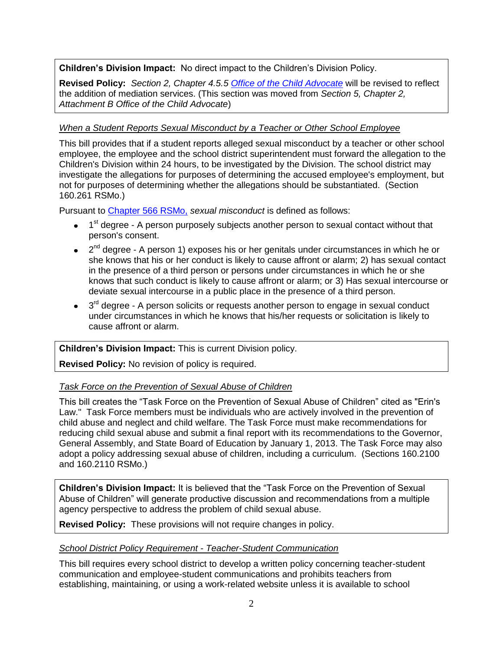**Children's Division Impact:** No direct impact to the Children's Division Policy.

**Revised Policy:** *Section 2, Chapter 4.5.5 [Office of the Child Advocate](/cd/info/cwmanual/section2/ch4/sec2ch4sub5_5.htm)* will be revised to reflect the addition of mediation services. (This section was moved from *Section 5, Chapter 2, Attachment B Office of the Child Advocate*)

# *When a Student Reports Sexual Misconduct by a Teacher or Other School Employee*

This bill provides that if a student reports alleged sexual misconduct by a teacher or other school employee, the employee and the school district superintendent must forward the allegation to the Children's Division within 24 hours, to be investigated by the Division. The school district may investigate the allegations for purposes of determining the accused employee's employment, but not for purposes of determining whether the allegations should be substantiated. (Section 160.261 RSMo.)

Pursuant to [Chapter 566 RSMo,](http://www.moga.mo.gov/statutes/c566.htm) *sexual misconduct* is defined as follows:

- 1<sup>st</sup> degree A person purposely subjects another person to sexual contact without that person's consent.
- 2<sup>nd</sup> degree A person 1) exposes his or her genitals under circumstances in which he or she knows that his or her conduct is likely to cause affront or alarm; 2) has sexual contact in the presence of a third person or persons under circumstances in which he or she knows that such conduct is likely to cause affront or alarm; or 3) Has sexual intercourse or deviate sexual intercourse in a public place in the presence of a third person.
- 3<sup>rd</sup> degree A person solicits or requests another person to engage in sexual conduct under circumstances in which he knows that his/her requests or solicitation is likely to cause affront or alarm.

# **Children's Division Impact:** This is current Division policy.

**Revised Policy:** No revision of policy is required.

# *Task Force on the Prevention of Sexual Abuse of Children*

This bill creates the "Task Force on the Prevention of Sexual Abuse of Children" cited as "Erin's Law." Task Force members must be individuals who are actively involved in the prevention of child abuse and neglect and child welfare. The Task Force must make recommendations for reducing child sexual abuse and submit a final report with its recommendations to the Governor, General Assembly, and State Board of Education by January 1, 2013. The Task Force may also adopt a policy addressing sexual abuse of children, including a curriculum. (Sections 160.2100 and 160.2110 RSMo.)

**Children's Division Impact:** It is believed that the "Task Force on the Prevention of Sexual Abuse of Children" will generate productive discussion and recommendations from a multiple agency perspective to address the problem of child sexual abuse.

**Revised Policy:** These provisions will not require changes in policy.

## *School District Policy Requirement - Teacher-Student Communication*

This bill requires every school district to develop a written policy concerning teacher-student communication and employee-student communications and prohibits teachers from establishing, maintaining, or using a work-related website unless it is available to school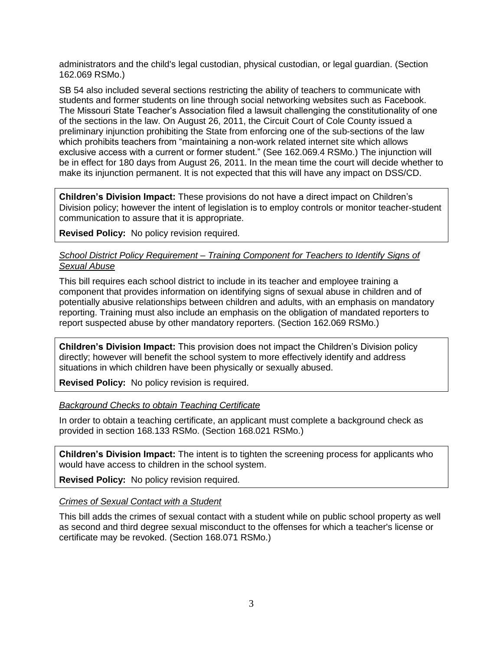administrators and the child's legal custodian, physical custodian, or legal guardian. (Section 162.069 RSMo.)

SB 54 also included several sections restricting the ability of teachers to communicate with students and former students on line through social networking websites such as Facebook. The Missouri State Teacher's Association filed a lawsuit challenging the constitutionality of one of the sections in the law. On August 26, 2011, the Circuit Court of Cole County issued a preliminary injunction prohibiting the State from enforcing one of the sub-sections of the law which prohibits teachers from "maintaining a non-work related internet site which allows exclusive access with a current or former student." (See 162.069.4 RSMo.) The injunction will be in effect for 180 days from August 26, 2011. In the mean time the court will decide whether to make its injunction permanent. It is not expected that this will have any impact on DSS/CD.

**Children's Division Impact:** These provisions do not have a direct impact on Children's Division policy; however the intent of legislation is to employ controls or monitor teacher-student communication to assure that it is appropriate.

**Revised Policy:** No policy revision required.

## *School District Policy Requirement – Training Component for Teachers to Identify Signs of Sexual Abuse*

This bill requires each school district to include in its teacher and employee training a component that provides information on identifying signs of sexual abuse in children and of potentially abusive relationships between children and adults, with an emphasis on mandatory reporting. Training must also include an emphasis on the obligation of mandated reporters to report suspected abuse by other mandatory reporters. (Section 162.069 RSMo.)

**Children's Division Impact:** This provision does not impact the Children's Division policy directly; however will benefit the school system to more effectively identify and address situations in which children have been physically or sexually abused.

**Revised Policy:** No policy revision is required.

# *Background Checks to obtain Teaching Certificate*

In order to obtain a teaching certificate, an applicant must complete a background check as provided in section 168.133 RSMo. (Section 168.021 RSMo.)

**Children's Division Impact:** The intent is to tighten the screening process for applicants who would have access to children in the school system.

**Revised Policy:** No policy revision required.

*Crimes of Sexual Contact with a Student*

This bill adds the crimes of sexual contact with a student while on public school property as well as second and third degree sexual misconduct to the offenses for which a teacher's license or certificate may be revoked. (Section 168.071 RSMo.)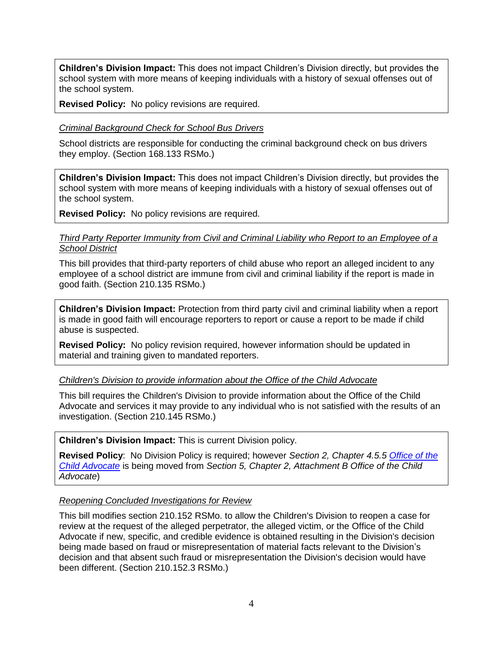**Children's Division Impact:** This does not impact Children's Division directly, but provides the school system with more means of keeping individuals with a history of sexual offenses out of the school system.

**Revised Policy:** No policy revisions are required.

## *Criminal Background Check for School Bus Drivers*

School districts are responsible for conducting the criminal background check on bus drivers they employ. (Section 168.133 RSMo.)

**Children's Division Impact:** This does not impact Children's Division directly, but provides the school system with more means of keeping individuals with a history of sexual offenses out of the school system.

**Revised Policy:** No policy revisions are required.

## *Third Party Reporter Immunity from Civil and Criminal Liability who Report to an Employee of a School District*

This bill provides that third-party reporters of child abuse who report an alleged incident to any employee of a school district are immune from civil and criminal liability if the report is made in good faith. (Section 210.135 RSMo.)

**Children's Division Impact:** Protection from third party civil and criminal liability when a report is made in good faith will encourage reporters to report or cause a report to be made if child abuse is suspected.

**Revised Policy:** No policy revision required, however information should be updated in material and training given to mandated reporters.

## *Children's Division to provide information about the Office of the Child Advocate*

This bill requires the Children's Division to provide information about the Office of the Child Advocate and services it may provide to any individual who is not satisfied with the results of an investigation. (Section 210.145 RSMo.)

**Children's Division Impact:** This is current Division policy.

**Revised Policy**: No Division Policy is required; however *Section 2, Chapter 4.5.5 [Office of the](/cd/info/cwmanual/section2/ch4/sec2ch4sub5_5.htm)  [Child Advocate](/cd/info/cwmanual/section2/ch4/sec2ch4sub5_5.htm)* is being moved from *Section 5, Chapter 2, Attachment B Office of the Child Advocate*)

## *Reopening Concluded Investigations for Review*

This bill modifies section 210.152 RSMo. to allow the Children's Division to reopen a case for review at the request of the alleged perpetrator, the alleged victim, or the Office of the Child Advocate if new, specific, and credible evidence is obtained resulting in the Division's decision being made based on fraud or misrepresentation of material facts relevant to the Division's decision and that absent such fraud or misrepresentation the Division's decision would have been different. (Section 210.152.3 RSMo.)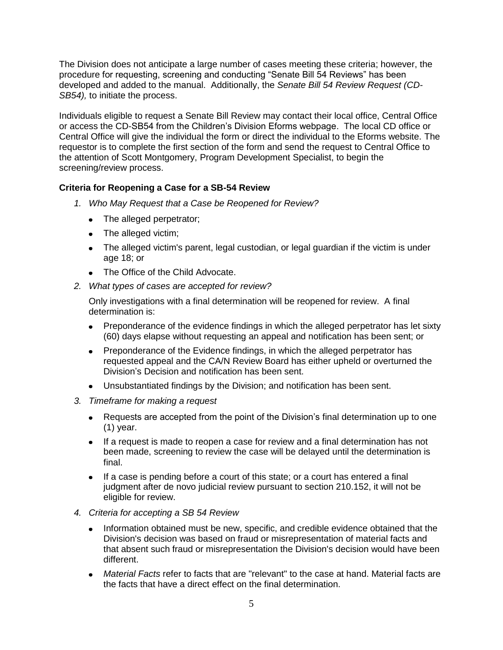The Division does not anticipate a large number of cases meeting these criteria; however, the procedure for requesting, screening and conducting "Senate Bill 54 Reviews" has been developed and added to the manual. Additionally, the *Senate Bill 54 Review Request (CD-SB54),* to initiate the process.

Individuals eligible to request a Senate Bill Review may contact their local office, Central Office or access the CD-SB54 from the Children's Division Eforms webpage. The local CD office or Central Office will give the individual the form or direct the individual to the Eforms website. The requestor is to complete the first section of the form and send the request to Central Office to the attention of Scott Montgomery, Program Development Specialist, to begin the screening/review process.

# **Criteria for Reopening a Case for a SB-54 Review**

- *1. Who May Request that a Case be Reopened for Review?*
	- The alleged perpetrator;
	- The alleged victim;
	- The alleged victim's parent, legal custodian, or legal guardian if the victim is under age 18; or
	- The Office of the Child Advocate.
- *2. What types of cases are accepted for review?*

Only investigations with a final determination will be reopened for review. A final determination is:

- Preponderance of the evidence findings in which the alleged perpetrator has let sixty (60) days elapse without requesting an appeal and notification has been sent; or
- Preponderance of the Evidence findings, in which the alleged perpetrator has requested appeal and the CA/N Review Board has either upheld or overturned the Division's Decision and notification has been sent.
- Unsubstantiated findings by the Division; and notification has been sent.
- *3. Timeframe for making a request*
	- Requests are accepted from the point of the Division's final determination up to one (1) year.
	- If a request is made to reopen a case for review and a final determination has not been made, screening to review the case will be delayed until the determination is final.
	- If a case is pending before a court of this state; or a court has entered a final judgment after de novo judicial review pursuant to section 210.152, it will not be eligible for review.
- *4. Criteria for accepting a SB 54 Review* 
	- Information obtained must be new, specific, and credible evidence obtained that the Division's decision was based on fraud or misrepresentation of material facts and that absent such fraud or misrepresentation the Division's decision would have been different.
	- *Material Facts* refer to facts that are "relevant" to the case at hand. Material facts are the facts that have a direct effect on the final determination.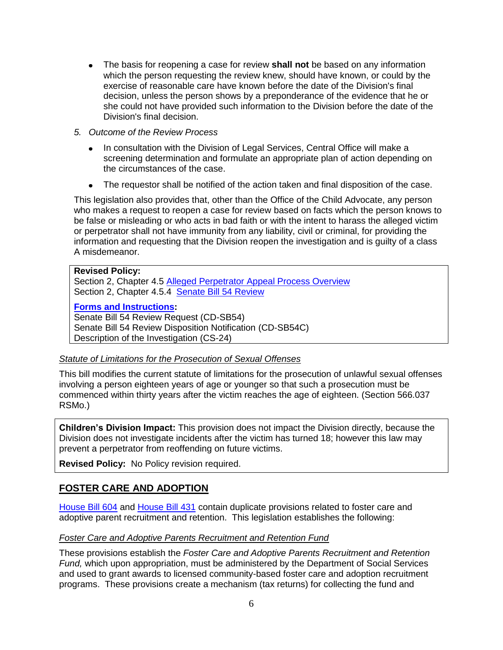- The basis for reopening a case for review **shall not** be based on any information which the person requesting the review knew, should have known, or could by the exercise of reasonable care have known before the date of the Division's final decision, unless the person shows by a preponderance of the evidence that he or she could not have provided such information to the Division before the date of the Division's final decision.
- *5. Outcome of the Revi*e*w Process*
	- In consultation with the Division of Legal Services, Central Office will make a screening determination and formulate an appropriate plan of action depending on the circumstances of the case.
	- The requestor shall be notified of the action taken and final disposition of the case.

This legislation also provides that, other than the Office of the Child Advocate, any person who makes a request to reopen a case for review based on facts which the person knows to be false or misleading or who acts in bad faith or with the intent to harass the alleged victim or perpetrator shall not have immunity from any liability, civil or criminal, for providing the information and requesting that the Division reopen the investigation and is guilty of a class A misdemeanor.

#### **Revised Policy:**

Section 2, Chapter 4.5 [Alleged Perpetrator Appeal Process Overview](http://dss.mo.gov/cd/info/cwmanual/section2/ch4/sec2ch4sub5.htm) Section 2, Chapter 4.5.4 [Senate Bill 54 Review](/cd/info/cwmanual/section2/ch4/sec2ch4sub5_4.htm)

## **[Forms and Instructions:](http://dss.mo.gov/cd/info/forms/index.htm)**

Senate Bill 54 Review Request (CD-SB54) Senate Bill 54 Review Disposition Notification (CD-SB54C) Description of the Investigation (CS-24)

## *Statute of Limitations for the Prosecution of Sexual Offenses*

This bill modifies the current statute of limitations for the prosecution of unlawful sexual offenses involving a person eighteen years of age or younger so that such a prosecution must be commenced within thirty years after the victim reaches the age of eighteen. (Section 566.037 RSMo.)

**Children's Division Impact:** This provision does not impact the Division directly, because the Division does not investigate incidents after the victim has turned 18; however this law may prevent a perpetrator from reoffending on future victims.

**Revised Policy:** No Policy revision required.

# **FOSTER CARE AND ADOPTION**

[House Bill 604](http://www.house.mo.gov/billsummary.aspx?bill=HB604&year=2011&code=R%20) and [House Bill 431](http://www.house.mo.gov/billsummary.aspx?bill=HB431&year=2011&code=R%20) contain duplicate provisions related to foster care and adoptive parent recruitment and retention. This legislation establishes the following:

## *Foster Care and Adoptive Parents Recruitment and Retention Fund*

These provisions establish the *Foster Care and Adoptive Parents Recruitment and Retention Fund,* which upon appropriation, must be administered by the Department of Social Services and used to grant awards to licensed community-based foster care and adoption recruitment programs. These provisions create a mechanism (tax returns) for collecting the fund and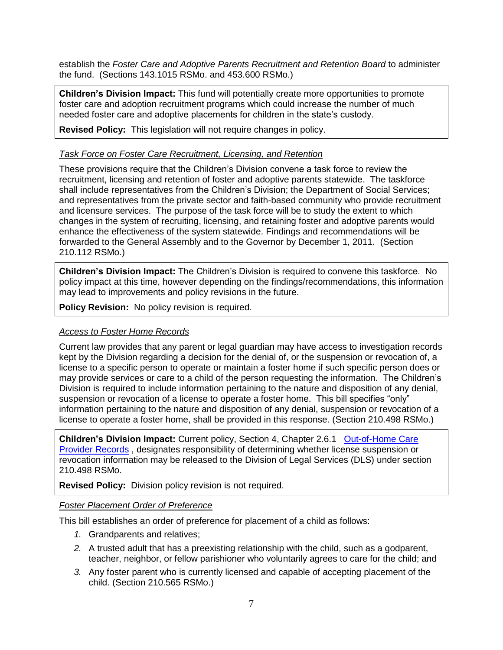establish the *Foster Care and Adoptive Parents Recruitment and Retention Board* to administer the fund. (Sections 143.1015 RSMo. and 453.600 RSMo.)

**Children's Division Impact:** This fund will potentially create more opportunities to promote foster care and adoption recruitment programs which could increase the number of much needed foster care and adoptive placements for children in the state's custody.

**Revised Policy:** This legislation will not require changes in policy.

## *Task Force on Foster Care Recruitment, Licensing, and Retention*

These provisions require that the Children's Division convene a task force to review the recruitment, licensing and retention of foster and adoptive parents statewide. The taskforce shall include representatives from the Children's Division; the Department of Social Services; and representatives from the private sector and faith-based community who provide recruitment and licensure services. The purpose of the task force will be to study the extent to which changes in the system of recruiting, licensing, and retaining foster and adoptive parents would enhance the effectiveness of the system statewide. Findings and recommendations will be forwarded to the General Assembly and to the Governor by December 1, 2011. (Section 210.112 RSMo.)

**Children's Division Impact:** The Children's Division is required to convene this taskforce.No policy impact at this time, however depending on the findings/recommendations, this information may lead to improvements and policy revisions in the future.

**Policy Revision:** No policy revision is required.

# *Access to Foster Home Records*

Current law provides that any parent or legal guardian may have access to investigation records kept by the Division regarding a decision for the denial of, or the suspension or revocation of, a license to a specific person to operate or maintain a foster home if such specific person does or may provide services or care to a child of the person requesting the information. The Children's Division is required to include information pertaining to the nature and disposition of any denial, suspension or revocation of a license to operate a foster home. This bill specifies "only" information pertaining to the nature and disposition of any denial, suspension or revocation of a license to operate a foster home, shall be provided in this response. (Section 210.498 RSMo.)

**Children's Division Impact:** Current policy, Section 4, Chapter 2.6.1 [Out-of-Home Care](http://dss.mo.gov/cd/info/cwmanual/section5/ch2/sec5ch2sub6.htm)  [Provider Records](http://dss.mo.gov/cd/info/cwmanual/section5/ch2/sec5ch2sub6.htm) , designates responsibility of determining whether license suspension or revocation information may be released to the Division of Legal Services (DLS) under section 210.498 RSMo.

**Revised Policy:** Division policy revision is not required.

## *Foster Placement Order of Preference*

This bill establishes an order of preference for placement of a child as follows:

- *1.* Grandparents and relatives;
- *2.* A trusted adult that has a preexisting relationship with the child, such as a godparent, teacher, neighbor, or fellow parishioner who voluntarily agrees to care for the child; and
- *3.* Any foster parent who is currently licensed and capable of accepting placement of the child. (Section 210.565 RSMo.)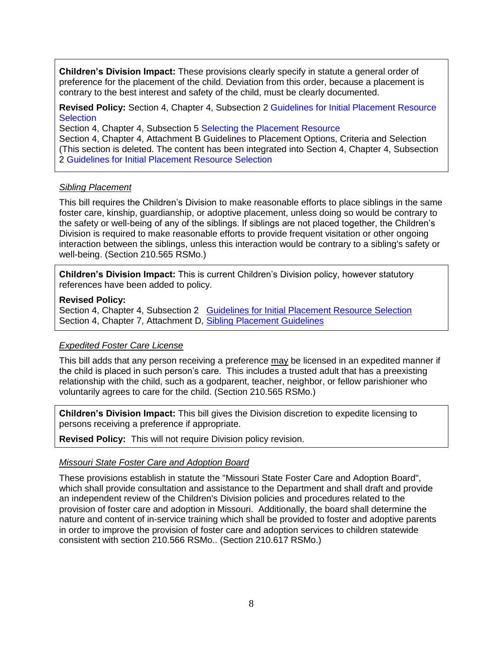**Children's Division Impact:** These provisions clearly specify in statute a general order of preference for the placement of the child. Deviation from this order, because a placement is contrary to the best interest and safety of the child, must be clearly documented.

**Revised Policy:** Section 4, Chapter 4, Subsection 2 Guidelines for Initial Placement Resource **Selection** 

Section 4, Chapter 4, Subsection 5 Selecting the Placement Resource

Section 4, Chapter 4, Attachment B Guidelines to Placement Options, Criteria and Selection (This section is deleted. The content has been integrated into Section 4, Chapter 4, Subsection 2 Guidelines for Initial Placement Resource Selection

## *Sibling Placement*

This bill requires the Children's Division to make reasonable efforts to place siblings in the same foster care, kinship, guardianship, or adoptive placement, unless doing so would be contrary to the safety or well-being of any of the siblings. If siblings are not placed together, the Children's Division is required to make reasonable efforts to provide frequent visitation or other ongoing interaction between the siblings, unless this interaction would be contrary to a sibling's safety or well-being. (Section 210.565 RSMo.)

**Children's Division Impact:** This is current Children's Division policy, however statutory references have been added to policy.

## **Revised Policy:**

Section 4, Chapter 4, Subsection 2 Guidelines for Initial [Placement Resource Selection](http://dss.mo.gov/cd/info/cwmanual/section4/ch4/sec4ch4sub2.htm) Section 4, Chapter 7, Attachment D, [Sibling Placement Guidelines](http://dss.mo.gov/cd/info/cwmanual/section4/ch7/sec4ch7attachd.htm)

# *Expedited Foster Care License*

This bill adds that any person receiving a preference may be licensed in an expedited manner if the child is placed in such person's care. This includes a trusted adult that has a preexisting relationship with the child, such as a godparent, teacher, neighbor, or fellow parishioner who voluntarily agrees to care for the child. (Section 210.565 RSMo.)

**Children's Division Impact:** This bill gives the Division discretion to expedite licensing to persons receiving a preference if appropriate.

**Revised Policy:** This will not require Division policy revision.

## *Missouri State Foster Care and Adoption Board*

These provisions establish in statute the "Missouri State Foster Care and Adoption Board", which shall provide consultation and assistance to the Department and shall draft and provide an independent review of the Children's Division policies and procedures related to the provision of foster care and adoption in Missouri. Additionally, the board shall determine the nature and content of in-service training which shall be provided to foster and adoptive parents in order to improve the provision of foster care and adoption services to children statewide consistent with section 210.566 RSMo.. (Section 210.617 RSMo.)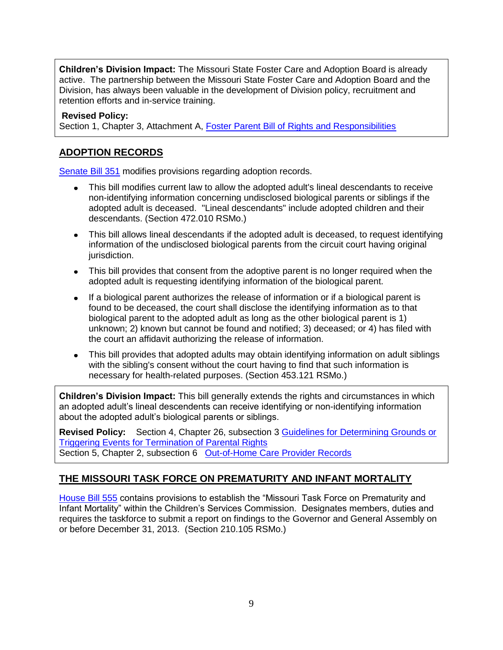**Children's Division Impact:** The Missouri State Foster Care and Adoption Board is already active. The partnership between the Missouri State Foster Care and Adoption Board and the Division, has always been valuable in the development of Division policy, recruitment and retention efforts and in-service training.

**Revised Policy:**

Section 1, Chapter 3, Attachment A, [Foster Parent Bill of Rights and Responsibilities](http://dss.mo.gov/cd/info/cwmanual/section1/ch3/sec1ch3attacha.htm)

# **ADOPTION RECORDS**

[Senate Bill 351](http://www.senate.mo.gov/11info/BTS_Web/Bill.aspx?SessionType=R&BillPrefix=SB&BillSuffix=351) modifies provisions regarding adoption records.

- This bill modifies current law to allow the adopted adult's lineal descendants to receive non-identifying information concerning undisclosed biological parents or siblings if the adopted adult is deceased. "Lineal descendants" include adopted children and their descendants. (Section 472.010 RSMo.)
- This bill allows lineal descendants if the adopted adult is deceased, to request identifying information of the undisclosed biological parents from the circuit court having original jurisdiction.
- This bill provides that consent from the adoptive parent is no longer required when the adopted adult is requesting identifying information of the biological parent.
- If a biological parent authorizes the release of information or if a biological parent is found to be deceased, the court shall disclose the identifying information as to that biological parent to the adopted adult as long as the other biological parent is 1) unknown; 2) known but cannot be found and notified; 3) deceased; or 4) has filed with the court an affidavit authorizing the release of information.
- This bill provides that adopted adults may obtain identifying information on adult siblings with the sibling's consent without the court having to find that such information is necessary for health-related purposes. (Section 453.121 RSMo.)

**Children's Division Impact:** This bill generally extends the rights and circumstances in which an adopted adult's lineal descendents can receive identifying or non-identifying information about the adopted adult's biological parents or siblings.

**Revised Policy:** Section 4, Chapter 26, subsection 3 [Guidelines for Determining Grounds or](http://dss.mo.gov/cd/info/cwmanual/section4/ch26/sec4ch26sub3.htm)  [Triggering Events for Termination of Parental Rights](http://dss.mo.gov/cd/info/cwmanual/section4/ch26/sec4ch26sub3.htm) Section 5, Chapter 2, subsection 6 [Out-of-Home Care Provider Records](http://dss.mo.gov/cd/info/cwmanual/section5/ch2/sec5ch2sub6.htm)

# **THE MISSOURI TASK FORCE ON PREMATURITY AND INFANT MORTALITY**

[House Bill 555](http://www.house.mo.gov/billsummary.aspx?bill=HB555&year=2011&code=R%20) contains provisions to establish the "Missouri Task Force on Prematurity and Infant Mortality" within the Children's Services Commission. Designates members, duties and requires the taskforce to submit a report on findings to the Governor and General Assembly on or before December 31, 2013. (Section 210.105 RSMo.)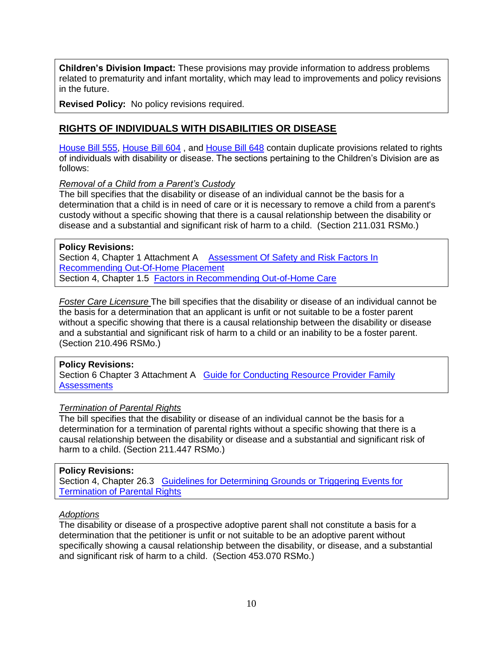**Children's Division Impact:** These provisions may provide information to address problems related to prematurity and infant mortality, which may lead to improvements and policy revisions in the future.

**Revised Policy:** No policy revisions required.

# **RIGHTS OF INDIVIDUALS WITH DISABILITIES OR DISEASE**

[House Bill 555,](http://www.house.mo.gov/billsummary.aspx?bill=HB555&year=2011&code=R%20) [House Bill 604](http://www.house.mo.gov/billsummary.aspx?bill=HB604&year=2011&code=R%20), and [House Bill 648](http://www.house.mo.gov/billsummary.aspx?bill=HB648&year=2011&code=R%20) contain duplicate provisions related to rights of individuals with disability or disease. The sections pertaining to the Children's Division are as follows:

## *Removal of a Child from a Parent's Custody*

The bill specifies that the disability or disease of an individual cannot be the basis for a determination that a child is in need of care or it is necessary to remove a child from a parent's custody without a specific showing that there is a causal relationship between the disability or disease and a substantial and significant risk of harm to a child. (Section 211.031 RSMo.)

#### **Policy Revisions:**

Section 4, Chapter 1 Attachment A Assessment Of Safety and Risk Factors In [Recommending Out-Of-Home Placement](http://dss.mo.gov/cd/info/cwmanual/section4/ch1/sec4ch1attacha.htm) Section 4, Chapter 1.5 [Factors in Recommending Out-of-Home Care](http://dss.mo.gov/cd/info/cwmanual/section4/ch1/sec4ch1sub5.htm)

*Foster Care Licensure* The bill specifies that the disability or disease of an individual cannot be the basis for a determination that an applicant is unfit or not suitable to be a foster parent without a specific showing that there is a causal relationship between the disability or disease and a substantial and significant risk of harm to a child or an inability to be a foster parent. (Section 210.496 RSMo.)

## **Policy Revisions:**

Section 6 Chapter 3 Attachment A [Guide for Conducting Resource Provider Family](http://dss.mo.gov/cd/info/cwmanual/section6/ch3/sec6ch3attacha.htm)  **[Assessments](http://dss.mo.gov/cd/info/cwmanual/section6/ch3/sec6ch3attacha.htm)** 

## *Termination of Parental Rights*

The bill specifies that the disability or disease of an individual cannot be the basis for a determination for a termination of parental rights without a specific showing that there is a causal relationship between the disability or disease and a substantial and significant risk of harm to a child. (Section 211.447 RSMo.)

#### **Policy Revisions:**

Section 4, Chapter 26.3 [Guidelines for Determining Grounds or Triggering Events for](http://dss.mo.gov/cd/info/cwmanual/section4/ch26/sec4ch26sub3.htm)  **[Termination of Parental Rights](http://dss.mo.gov/cd/info/cwmanual/section4/ch26/sec4ch26sub3.htm)** 

# *Adoptions*

The disability or disease of a prospective adoptive parent shall not constitute a basis for a determination that the petitioner is unfit or not suitable to be an adoptive parent without specifically showing a causal relationship between the disability, or disease, and a substantial and significant risk of harm to a child. (Section 453.070 RSMo.)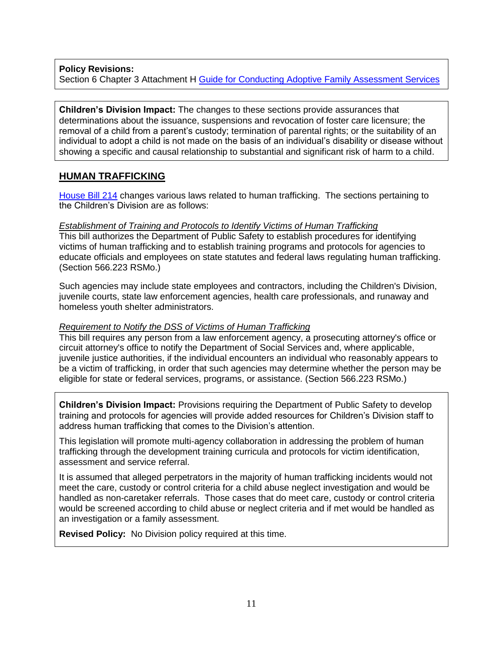**Policy Revisions:**  Section 6 Chapter 3 Attachment H [Guide for Conducting Adoptive Family Assessment Services](http://dss.mo.gov/cd/info/cwmanual/section6/ch3/sec6ch3attachh.htm)

**Children's Division Impact:** The changes to these sections provide assurances that determinations about the issuance, suspensions and revocation of foster care licensure; the removal of a child from a parent's custody; termination of parental rights; or the suitability of an individual to adopt a child is not made on the basis of an individual's disability or disease without showing a specific and causal relationship to substantial and significant risk of harm to a child.

# **HUMAN TRAFFICKING**

[House Bill 214](http://www.house.mo.gov/billsummary.aspx?bill=HB214&year=2011&code=R%20) changes various laws related to human trafficking. The sections pertaining to the Children's Division are as follows:

## *Establishment of Training and Protocols to Identify Victims of Human Trafficking*

This bill authorizes the Department of Public Safety to establish procedures for identifying victims of human trafficking and to establish training programs and protocols for agencies to educate officials and employees on state statutes and federal laws regulating human trafficking. (Section 566.223 RSMo.)

Such agencies may include state employees and contractors, including the Children's Division, juvenile courts, state law enforcement agencies, health care professionals, and runaway and homeless youth shelter administrators.

## *Requirement to Notify the DSS of Victims of Human Trafficking*

This bill requires any person from a law enforcement agency, a prosecuting attorney's office or circuit attorney's office to notify the Department of Social Services and, where applicable, juvenile justice authorities, if the individual encounters an individual who reasonably appears to be a victim of trafficking, in order that such agencies may determine whether the person may be eligible for state or federal services, programs, or assistance. (Section 566.223 RSMo.)

**Children's Division Impact:** Provisions requiring the Department of Public Safety to develop training and protocols for agencies will provide added resources for Children's Division staff to address human trafficking that comes to the Division's attention.

This legislation will promote multi-agency collaboration in addressing the problem of human trafficking through the development training curricula and protocols for victim identification, assessment and service referral.

It is assumed that alleged perpetrators in the majority of human trafficking incidents would not meet the care, custody or control criteria for a child abuse neglect investigation and would be handled as non-caretaker referrals. Those cases that do meet care, custody or control criteria would be screened according to child abuse or neglect criteria and if met would be handled as an investigation or a family assessment.

**Revised Policy:** No Division policy required at this time.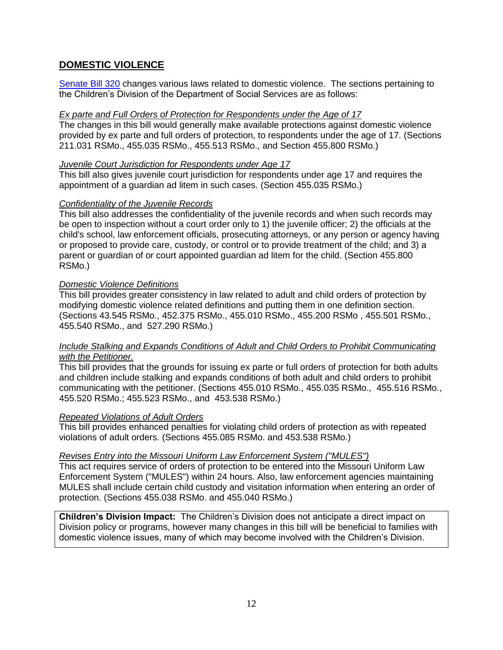# **DOMESTIC VIOLENCE**

[Senate Bill 320](http://www.senate.mo.gov/11info/BTS_Web/Bill.aspx?SessionType=R&BillPrefix=SB&BillSuffix=320) changes various laws related to domestic violence. The sections pertaining to the Children's Division of the Department of Social Services are as follows:

# *Ex parte and Full Orders of Protection for Respondents under the Age of 17*

The changes in this bill would generally make available protections against domestic violence provided by ex parte and full orders of protection, to respondents under the age of 17. (Sections 211.031 RSMo., 455.035 RSMo., 455.513 RSMo., and Section 455.800 RSMo.)

## *Juvenile Court Jurisdiction for Respondents under Age 17*

This bill also gives juvenile court jurisdiction for respondents under age 17 and requires the appointment of a guardian ad litem in such cases. (Section 455.035 RSMo.)

## *Confidentiality of the Juvenile Records*

This bill also addresses the confidentiality of the juvenile records and when such records may be open to inspection without a court order only to 1) the juvenile officer; 2) the officials at the child's school, law enforcement officials, prosecuting attorneys, or any person or agency having or proposed to provide care, custody, or control or to provide treatment of the child; and 3) a parent or guardian of or court appointed guardian ad litem for the child. (Section 455.800 RSMo.)

# *Domestic Violence Definitions*

This bill provides greater consistency in law related to adult and child orders of protection by modifying domestic violence related definitions and putting them in one definition section. (Sections 43.545 RSMo., 452.375 RSMo., 455.010 RSMo., 455.200 RSMo , 455.501 RSMo., 455.540 RSMo., and 527.290 RSMo.)

## *Include Stalking and Expands Conditions of Adult and Child Orders to Prohibit Communicating with the Petitioner.*

This bill provides that the grounds for issuing ex parte or full orders of protection for both adults and children include stalking and expands conditions of both adult and child orders to prohibit communicating with the petitioner. (Sections 455.010 RSMo., 455.035 RSMo., 455.516 RSMo., 455.520 RSMo.; 455.523 RSMo., and 453.538 RSMo.)

## *Repeated Violations of Adult Orders*

This bill provides enhanced penalties for violating child orders of protection as with repeated violations of adult orders. (Sections 455.085 RSMo. and 453.538 RSMo.)

## *Revises Entry into the Missouri Uniform Law Enforcement System ("MULES")*

This act requires service of orders of protection to be entered into the Missouri Uniform Law Enforcement System ("MULES") within 24 hours. Also, law enforcement agencies maintaining MULES shall include certain child custody and visitation information when entering an order of protection. (Sections 455.038 RSMo. and 455.040 RSMo.)

**Children's Division Impact:** The Children's Division does not anticipate a direct impact on Division policy or programs, however many changes in this bill will be beneficial to families with domestic violence issues, many of which may become involved with the Children's Division.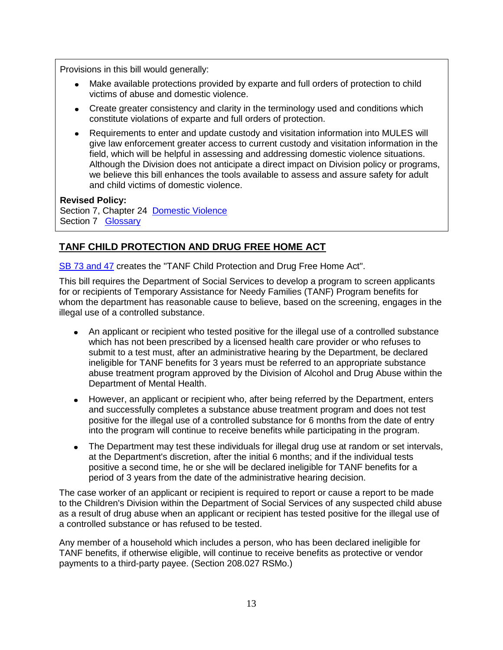Provisions in this bill would generally:

- Make available protections provided by exparte and full orders of protection to child victims of abuse and domestic violence.
- Create greater consistency and clarity in the terminology used and conditions which constitute violations of exparte and full orders of protection.
- Requirements to enter and update custody and visitation information into MULES will give law enforcement greater access to current custody and visitation information in the field, which will be helpful in assessing and addressing domestic violence situations. Although the Division does not anticipate a direct impact on Division policy or programs, we believe this bill enhances the tools available to assess and assure safety for adult and child victims of domestic violence.

**Revised Policy:**

Section 7, Chapter 24 [Domestic Violence](http://dss.mo.gov/cd/info/cwmanual/section7/ch1_33/sec7ch24.htm) Section 7 [Glossary](http://dss.mo.gov/cd/info/cwmanual/section7/glossary/d.htm)

# **TANF CHILD PROTECTION AND DRUG FREE HOME ACT**

[SB 73 and 47](http://www.house.mo.gov/billsummary.aspx?bill=HB73&year=2011&code=R) creates the "TANF Child Protection and Drug Free Home Act".

This bill requires the Department of Social Services to develop a program to screen applicants for or recipients of Temporary Assistance for Needy Families (TANF) Program benefits for whom the department has reasonable cause to believe, based on the screening, engages in the illegal use of a controlled substance.

- An applicant or recipient who tested positive for the illegal use of a controlled substance which has not been prescribed by a licensed health care provider or who refuses to submit to a test must, after an administrative hearing by the Department, be declared ineligible for TANF benefits for 3 years must be referred to an appropriate substance abuse treatment program approved by the Division of Alcohol and Drug Abuse within the Department of Mental Health.
- However, an applicant or recipient who, after being referred by the Department, enters and successfully completes a substance abuse treatment program and does not test positive for the illegal use of a controlled substance for 6 months from the date of entry into the program will continue to receive benefits while participating in the program.
- The Department may test these individuals for illegal drug use at random or set intervals, at the Department's discretion, after the initial 6 months; and if the individual tests positive a second time, he or she will be declared ineligible for TANF benefits for a period of 3 years from the date of the administrative hearing decision.

The case worker of an applicant or recipient is required to report or cause a report to be made to the Children's Division within the Department of Social Services of any suspected child abuse as a result of drug abuse when an applicant or recipient has tested positive for the illegal use of a controlled substance or has refused to be tested.

Any member of a household which includes a person, who has been declared ineligible for TANF benefits, if otherwise eligible, will continue to receive benefits as protective or vendor payments to a third-party payee. (Section 208.027 RSMo.)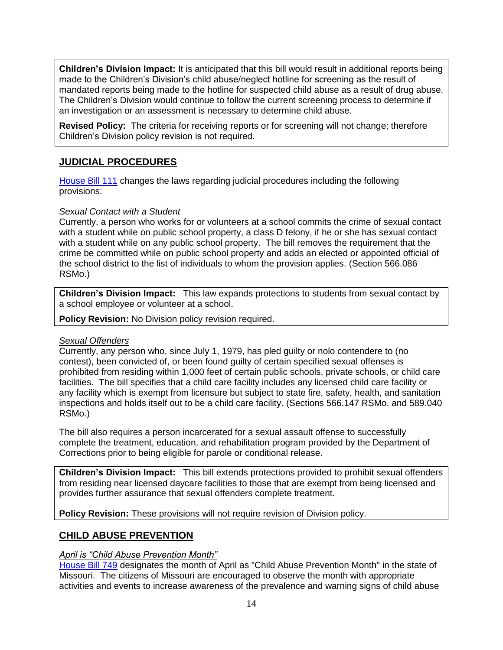**Children's Division Impact:** It is anticipated that this bill would result in additional reports being made to the Children's Division's child abuse/neglect hotline for screening as the result of mandated reports being made to the hotline for suspected child abuse as a result of drug abuse. The Children's Division would continue to follow the current screening process to determine if an investigation or an assessment is necessary to determine child abuse.

**Revised Policy:** The criteria for receiving reports or for screening will not change; therefore Children's Division policy revision is not required.

# **JUDICIAL PROCEDURES**

[House Bill 111](http://www.house.mo.gov/billsummary.aspx?bill=HB111&year=2011&code=R%20) changes the laws regarding judicial procedures including the following provisions:

# *Sexual Contact with a Student*

Currently, a person who works for or volunteers at a school commits the crime of sexual contact with a student while on public school property, a class D felony, if he or she has sexual contact with a student while on any public school property. The bill removes the requirement that the crime be committed while on public school property and adds an elected or appointed official of the school district to the list of individuals to whom the provision applies. (Section 566.086 RSMo.)

**Children's Division Impact:** This law expands protections to students from sexual contact by a school employee or volunteer at a school.

**Policy Revision:** No Division policy revision required.

# *Sexual Offenders*

Currently, any person who, since July 1, 1979, has pled guilty or nolo contendere to (no contest), been convicted of, or been found guilty of certain specified sexual offenses is prohibited from residing within 1,000 feet of certain public schools, private schools, or child care facilities. The bill specifies that a child care facility includes any licensed child care facility or any facility which is exempt from licensure but subject to state fire, safety, health, and sanitation inspections and holds itself out to be a child care facility. (Sections 566.147 RSMo. and 589.040 RSMo.)

The bill also requires a person incarcerated for a sexual assault offense to successfully complete the treatment, education, and rehabilitation program provided by the Department of Corrections prior to being eligible for parole or conditional release.

**Children's Division Impact:** This bill extends protections provided to prohibit sexual offenders from residing near licensed daycare facilities to those that are exempt from being licensed and provides further assurance that sexual offenders complete treatment.

**Policy Revision:** These provisions will not require revision of Division policy.

# **CHILD ABUSE PREVENTION**

# *April is "Child Abuse Prevention Month"*

[House Bill 749](http://www.house.mo.gov/billsummary.aspx?bill=HB749&year=2011&code=R%20) designates the month of April as "Child Abuse Prevention Month" in the state of Missouri. The citizens of Missouri are encouraged to observe the month with appropriate activities and events to increase awareness of the prevalence and warning signs of child abuse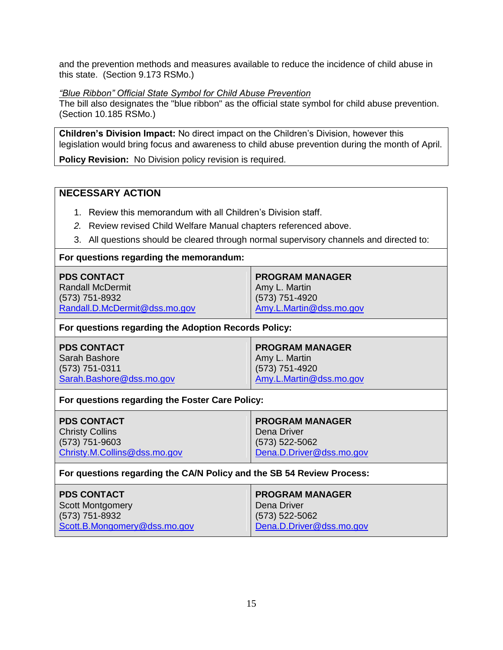and the prevention methods and measures available to reduce the incidence of child abuse in this state. (Section 9.173 RSMo.)

## *"Blue Ribbon" Official State Symbol for Child Abuse Prevention*

The bill also designates the "blue ribbon" as the official state symbol for child abuse prevention. (Section 10.185 RSMo.)

**Children's Division Impact:** No direct impact on the Children's Division, however this legislation would bring focus and awareness to child abuse prevention during the month of April.

**Policy Revision:** No Division policy revision is required.

# **NECESSARY ACTION**

- 1. Review this memorandum with all Children's Division staff.
- *2.* Review revised Child Welfare Manual chapters referenced above.
- 3. All questions should be cleared through normal supervisory channels and directed to:

## **For questions regarding the memorandum:**

| <b>PDS CONTACT</b>            | <b>PROGRAM MANAGER</b>  |
|-------------------------------|-------------------------|
| Randall McDermit              | Amy L. Martin           |
| (573) 751-8932                | $(573) 751-4920$        |
| Randall.D.McDermit@dss.mo.gov | Amy.L.Martin@dss.mo.gov |

## **For questions regarding the Adoption Records Policy:**

| <b>PDS CONTACT</b>       | <b>PROGRAM MANAGER</b>  |
|--------------------------|-------------------------|
| Sarah Bashore            | Amy L. Martin           |
| $(573) 751 - 0311$       | $(573) 751 - 4920$      |
| Sarah.Bashore@dss.mo.gov | Amy.L.Martin@dss.mo.gov |

## **For questions regarding the Foster Care Policy:**

| <b>PDS CONTACT</b>           | <b>PROGRAM MANAGER</b>   |
|------------------------------|--------------------------|
| <b>Christy Collins</b>       | Dena Driver              |
| (573) 751-9603               | (573) 522-5062           |
| Christy.M.Collins@dss.mo.gov | Dena.D.Driver@dss.mo.gov |

## **For questions regarding the CA/N Policy and the SB 54 Review Process:**

| <b>PDS CONTACT</b>           | <b>PROGRAM MANAGER</b>   |
|------------------------------|--------------------------|
| Scott Montgomery             | Dena Driver              |
| (573) 751-8932               | (573) 522-5062           |
| Scott.B.Mongomery@dss.mo.gov | Dena.D.Driver@dss.mo.gov |